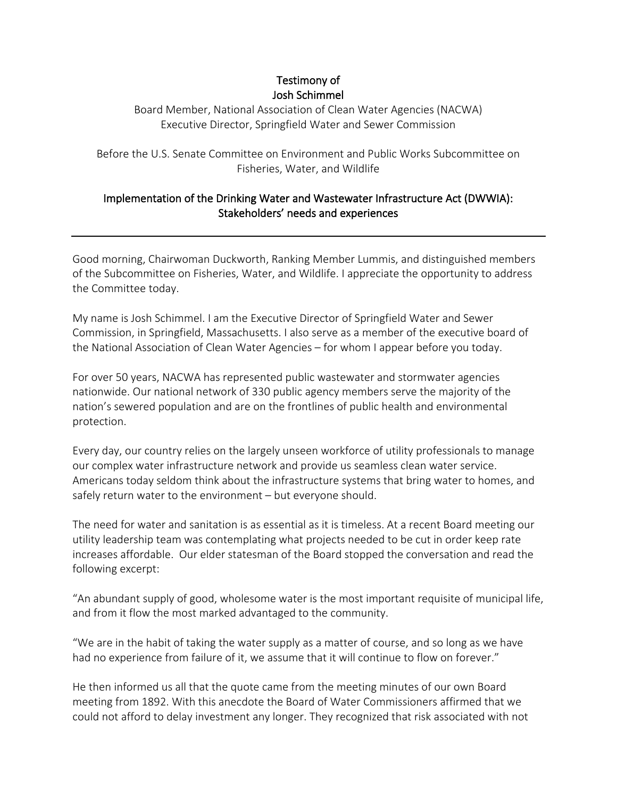## Testimony of Josh Schimmel

Board Member, National Association of Clean Water Agencies (NACWA) Executive Director, Springfield Water and Sewer Commission

Before the U.S. Senate Committee on Environment and Public Works Subcommittee on Fisheries, Water, and Wildlife

## Implementation of the Drinking Water and Wastewater Infrastructure Act (DWWIA): Stakeholders' needs and experiences

Good morning, Chairwoman Duckworth, Ranking Member Lummis, and distinguished members of the Subcommittee on Fisheries, Water, and Wildlife. I appreciate the opportunity to address the Committee today.

My name is Josh Schimmel. I am the Executive Director of Springfield Water and Sewer Commission, in Springfield, Massachusetts. I also serve as a member of the executive board of the National Association of Clean Water Agencies – for whom I appear before you today.

For over 50 years, NACWA has represented public wastewater and stormwater agencies nationwide. Our national network of 330 public agency members serve the majority of the nation's sewered population and are on the frontlines of public health and environmental protection.

Every day, our country relies on the largely unseen workforce of utility professionals to manage our complex water infrastructure network and provide us seamless clean water service. Americans today seldom think about the infrastructure systems that bring water to homes, and safely return water to the environment – but everyone should.

The need for water and sanitation is as essential as it is timeless. At a recent Board meeting our utility leadership team was contemplating what projects needed to be cut in order keep rate increases affordable. Our elder statesman of the Board stopped the conversation and read the following excerpt:

"An abundant supply of good, wholesome water is the most important requisite of municipal life, and from it flow the most marked advantaged to the community.

"We are in the habit of taking the water supply as a matter of course, and so long as we have had no experience from failure of it, we assume that it will continue to flow on forever."

He then informed us all that the quote came from the meeting minutes of our own Board meeting from 1892. With this anecdote the Board of Water Commissioners affirmed that we could not afford to delay investment any longer. They recognized that risk associated with not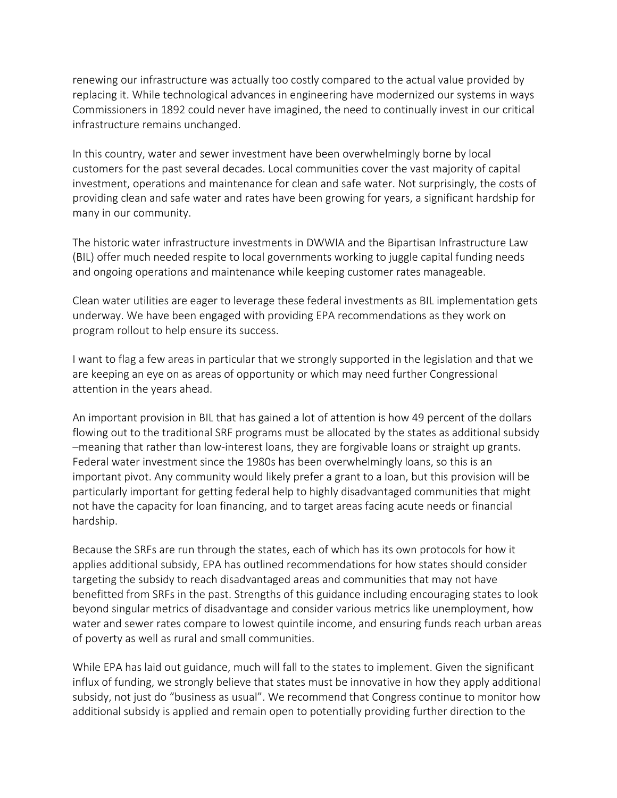renewing our infrastructure was actually too costly compared to the actual value provided by replacing it. While technological advances in engineering have modernized our systems in ways Commissioners in 1892 could never have imagined, the need to continually invest in our critical infrastructure remains unchanged.

In this country, water and sewer investment have been overwhelmingly borne by local customers for the past several decades. Local communities cover the vast majority of capital investment, operations and maintenance for clean and safe water. Not surprisingly, the costs of providing clean and safe water and rates have been growing for years, a significant hardship for many in our community.

The historic water infrastructure investments in DWWIA and the Bipartisan Infrastructure Law (BIL) offer much needed respite to local governments working to juggle capital funding needs and ongoing operations and maintenance while keeping customer rates manageable.

Clean water utilities are eager to leverage these federal investments as BIL implementation gets underway. We have been engaged with providing EPA recommendations as they work on program rollout to help ensure its success.

I want to flag a few areas in particular that we strongly supported in the legislation and that we are keeping an eye on as areas of opportunity or which may need further Congressional attention in the years ahead.

An important provision in BIL that has gained a lot of attention is how 49 percent of the dollars flowing out to the traditional SRF programs must be allocated by the states as additional subsidy –meaning that rather than low-interest loans, they are forgivable loans or straight up grants. Federal water investment since the 1980s has been overwhelmingly loans, so this is an important pivot. Any community would likely prefer a grant to a loan, but this provision will be particularly important for getting federal help to highly disadvantaged communities that might not have the capacity for loan financing, and to target areas facing acute needs or financial hardship.

Because the SRFs are run through the states, each of which has its own protocols for how it applies additional subsidy, EPA has outlined recommendations for how states should consider targeting the subsidy to reach disadvantaged areas and communities that may not have benefitted from SRFs in the past. Strengths of this guidance including encouraging states to look beyond singular metrics of disadvantage and consider various metrics like unemployment, how water and sewer rates compare to lowest quintile income, and ensuring funds reach urban areas of poverty as well as rural and small communities.

While EPA has laid out guidance, much will fall to the states to implement. Given the significant influx of funding, we strongly believe that states must be innovative in how they apply additional subsidy, not just do "business as usual". We recommend that Congress continue to monitor how additional subsidy is applied and remain open to potentially providing further direction to the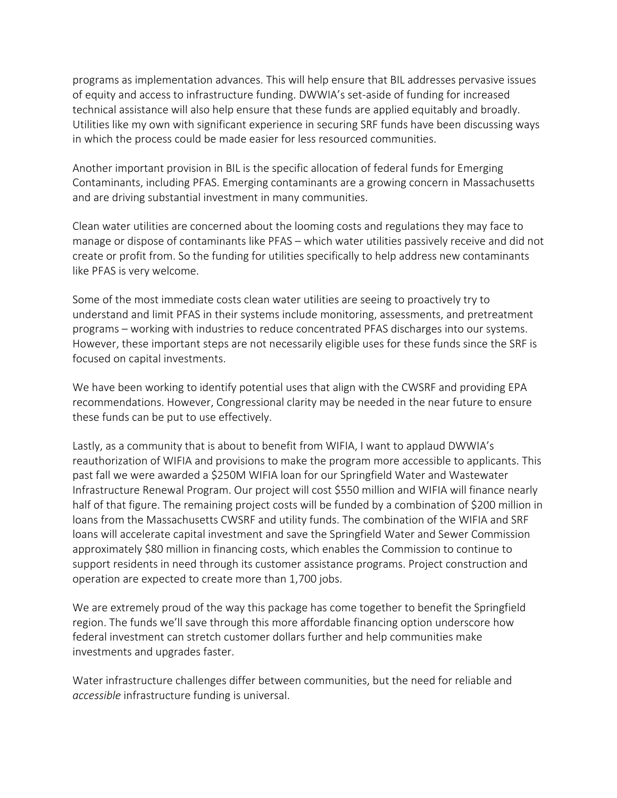programs as implementation advances. This will help ensure that BIL addresses pervasive issues of equity and access to infrastructure funding. DWWIA's set-aside of funding for increased technical assistance will also help ensure that these funds are applied equitably and broadly. Utilities like my own with significant experience in securing SRF funds have been discussing ways in which the process could be made easier for less resourced communities.

Another important provision in BIL is the specific allocation of federal funds for Emerging Contaminants, including PFAS. Emerging contaminants are a growing concern in Massachusetts and are driving substantial investment in many communities.

Clean water utilities are concerned about the looming costs and regulations they may face to manage or dispose of contaminants like PFAS – which water utilities passively receive and did not create or profit from. So the funding for utilities specifically to help address new contaminants like PFAS is very welcome.

Some of the most immediate costs clean water utilities are seeing to proactively try to understand and limit PFAS in their systems include monitoring, assessments, and pretreatment programs – working with industries to reduce concentrated PFAS discharges into our systems. However, these important steps are not necessarily eligible uses for these funds since the SRF is focused on capital investments.

We have been working to identify potential uses that align with the CWSRF and providing EPA recommendations. However, Congressional clarity may be needed in the near future to ensure these funds can be put to use effectively.

Lastly, as a community that is about to benefit from WIFIA, I want to applaud DWWIA's reauthorization of WIFIA and provisions to make the program more accessible to applicants. This past fall we were awarded a \$250M WIFIA loan for our Springfield Water and Wastewater Infrastructure Renewal Program. Our project will cost \$550 million and WIFIA will finance nearly half of that figure. The remaining project costs will be funded by a combination of \$200 million in loans from the Massachusetts CWSRF and utility funds. The combination of the WIFIA and SRF loans will accelerate capital investment and save the Springfield Water and Sewer Commission approximately \$80 million in financing costs, which enables the Commission to continue to support residents in need through its customer assistance programs. Project construction and operation are expected to create more than 1,700 jobs.

We are extremely proud of the way this package has come together to benefit the Springfield region. The funds we'll save through this more affordable financing option underscore how federal investment can stretch customer dollars further and help communities make investments and upgrades faster.

Water infrastructure challenges differ between communities, but the need for reliable and *accessible* infrastructure funding is universal.